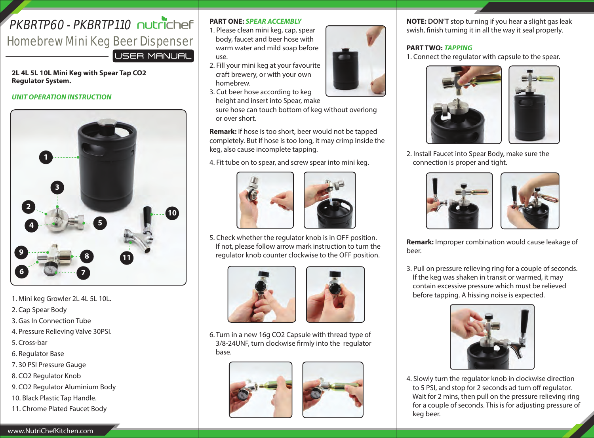# $PKRRTP60 - PKRRTP110$   $\Box$  incirchef Homebrew Mini Keg Beer Dispenser LUSER MANUAL

**2L 4L 5L 10L Mini Keg with Spear Tap CO2 Regulator System.**

#### *UNIT OPERATION INSTRUCTION*



- 1. Mini keg Growler 2L 4L 5L 10L.
- 2. Cap Spear Body
- 3. Gas In Connection Tube
- 4. Pressure Relieving Valve 30PSI.
- 5. Cross-bar
- 6. Regulator Base
- 7. 30 PSI Pressure Gauge
- 8. CO2 Regulator Knob
- 9. CO2 Regulator Aluminium Body
- 10. Black Plastic Tap Handle.
- 11. Chrome Plated Faucet Body

## **PART ONE:** *SPEAR ACCEMBLY*

- 1. Please clean mini keg, cap, spear body, faucet and beer hose with warm water and mild soap before use.
- 2. Fill your mini keg at your favourite craft brewery, or with your own homebrew.
- 3. Cut beer hose according to keg height and insert into Spear, make

 sure hose can touch bottom of keg without overlong or over short.

**Remark:** If hose is too short, beer would not be tapped completely. But if hose is too long, it may crimp inside the keg, also cause incomplete tapping.

4. Fit tube on to spear, and screw spear into mini keg.





5. Check whether the regulator knob is in OFF position. If not, please follow arrow mark instruction to turn the regulator knob counter clockwise to the OFF position.





6. Turn in a new 16g CO2 Capsule with thread type of 3/8-24UNF, turn clockwise firmly into the regulator base.





**NOTE: DON'T** stop turning if you hear a slight gas leak swish, finish turning it in all the way it seal properly.

# **PART TWO:** *TAPPING*

1. Connect the regulator with capsule to the spear.



2. Install Faucet into Spear Body, make sure the connection is proper and tight.



**Remark:** Improper combination would cause leakage of beer.

3. Pull on pressure relieving ring for a couple of seconds. If the keg was shaken in transit or warmed, it may contain excessive pressure which must be relieved before tapping. A hissing noise is expected.



4. Slowly turn the regulator knob in clockwise direction to 5 PSI, and stop for 2 seconds ad turn off regulator. Wait for 2 mins, then pull on the pressure relieving ring for a couple of seconds. This is for adjusting pressure of keg beer.